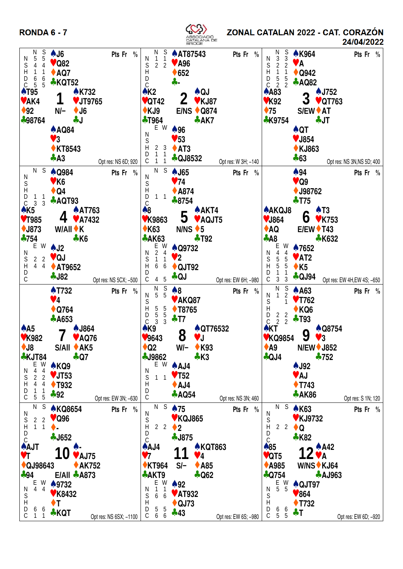**RONDA 6 - 7** 



ZONAL CATALAN 2022 - CAT. CORAZÓN

24/04/2022